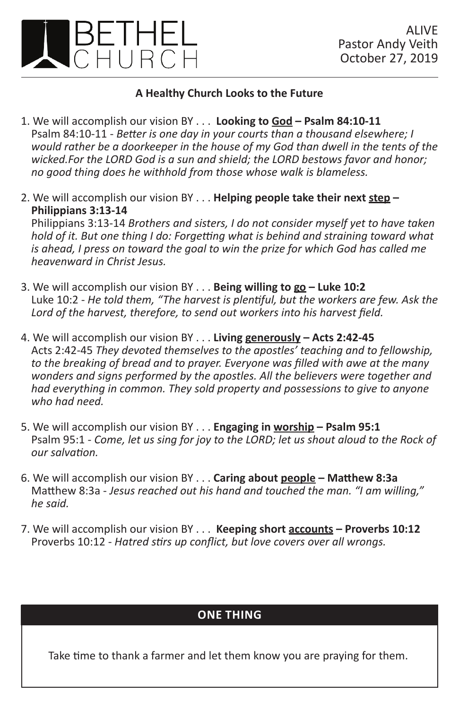

## **A Healthy Church Looks to the Future**

- 1. We will accomplish our vision BY . . . **Looking to God Psalm 84:10-11** Psalm 84:10-11 - *Better is one day in your courts than a thousand elsewhere; I would rather be a doorkeeper in the house of my God than dwell in the tents of the wicked.For the LORD God is a sun and shield; the LORD bestows favor and honor; no good thing does he withhold from those whose walk is blameless.*
- 2. We will accomplish our vision BY . . . **Helping people take their next step Philippians 3:13-14** Philippians 3:13-14 *Brothers and sisters, I do not consider myself yet to have taken hold of it. But one thing I do: Forgetting what is behind and straining toward what is ahead, I press on toward the goal to win the prize for which God has called me heavenward in Christ Jesus.*
- 3. We will accomplish our vision BY . . . **Being willing to go Luke 10:2** Luke 10:2 - *He told them, "The harvest is plentiful, but the workers are few. Ask the Lord of the harvest, therefore, to send out workers into his harvest field.*
- 4. We will accomplish our vision BY . . . **Living generously Acts 2:42-45** Acts 2:42-45 *They devoted themselves to the apostles' teaching and to fellowship, to the breaking of bread and to prayer. Everyone was filled with awe at the many wonders and signs performed by the apostles. All the believers were together and had everything in common. They sold property and possessions to give to anyone who had need.*
- 5. We will accomplish our vision BY . . . **Engaging in worship Psalm 95:1** Psalm 95:1 - *Come, let us sing for joy to the LORD; let us shout aloud to the Rock of our salvation.*
- 6. We will accomplish our vision BY . . . **Caring about people Matthew 8:3a** Matthew 8:3a - *Jesus reached out his hand and touched the man. "I am willing," he said.*
- 7. We will accomplish our vision BY . . . **Keeping short accounts Proverbs 10:12** Proverbs 10:12 - *Hatred stirs up conflict, but love covers over all wrongs.*

## **ONE THING**

Take time to thank a farmer and let them know you are praying for them.